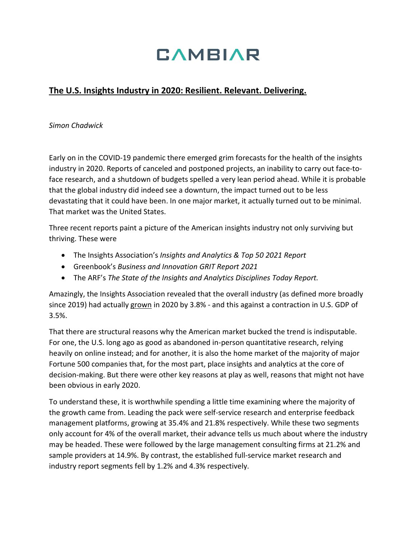## **CAMBIAR**

## **The U.S. Insights Industry in 2020: Resilient. Relevant. Delivering.**

*Simon Chadwick*

Early on in the COVID-19 pandemic there emerged grim forecasts for the health of the insights industry in 2020. Reports of canceled and postponed projects, an inability to carry out face-toface research, and a shutdown of budgets spelled a very lean period ahead. While it is probable that the global industry did indeed see a downturn, the impact turned out to be less devastating that it could have been. In one major market, it actually turned out to be minimal. That market was the United States.

Three recent reports paint a picture of the American insights industry not only surviving but thriving. These were

- The Insights Association's *Insights and Analytics & Top 50 2021 Report*
- Greenbook's *Business and Innovation GRIT Report 2021*
- The ARF's *The State of the Insights and Analytics Disciplines Today Report.*

Amazingly, the Insights Association revealed that the overall industry (as defined more broadly since 2019) had actually grown in 2020 by 3.8% - and this against a contraction in U.S. GDP of 3.5%.

That there are structural reasons why the American market bucked the trend is indisputable. For one, the U.S. long ago as good as abandoned in-person quantitative research, relying heavily on online instead; and for another, it is also the home market of the majority of major Fortune 500 companies that, for the most part, place insights and analytics at the core of decision-making. But there were other key reasons at play as well, reasons that might not have been obvious in early 2020.

To understand these, it is worthwhile spending a little time examining where the majority of the growth came from. Leading the pack were self-service research and enterprise feedback management platforms, growing at 35.4% and 21.8% respectively. While these two segments only account for 4% of the overall market, their advance tells us much about where the industry may be headed. These were followed by the large management consulting firms at 21.2% and sample providers at 14.9%. By contrast, the established full-service market research and industry report segments fell by 1.2% and 4.3% respectively.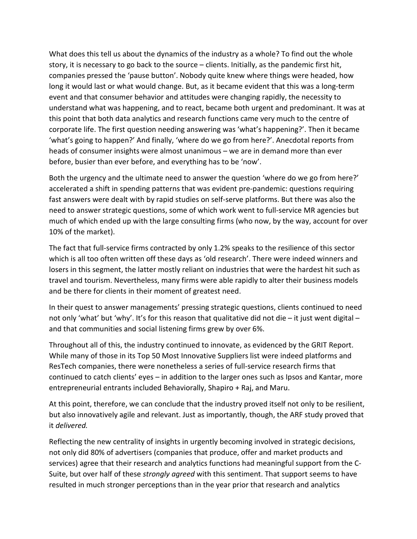What does this tell us about the dynamics of the industry as a whole? To find out the whole story, it is necessary to go back to the source – clients. Initially, as the pandemic first hit, companies pressed the 'pause button'. Nobody quite knew where things were headed, how long it would last or what would change. But, as it became evident that this was a long-term event and that consumer behavior and attitudes were changing rapidly, the necessity to understand what was happening, and to react, became both urgent and predominant. It was at this point that both data analytics and research functions came very much to the centre of corporate life. The first question needing answering was 'what's happening?'. Then it became 'what's going to happen?' And finally, 'where do we go from here?'. Anecdotal reports from heads of consumer insights were almost unanimous – we are in demand more than ever before, busier than ever before, and everything has to be 'now'.

Both the urgency and the ultimate need to answer the question 'where do we go from here?' accelerated a shift in spending patterns that was evident pre-pandemic: questions requiring fast answers were dealt with by rapid studies on self-serve platforms. But there was also the need to answer strategic questions, some of which work went to full-service MR agencies but much of which ended up with the large consulting firms (who now, by the way, account for over 10% of the market).

The fact that full-service firms contracted by only 1.2% speaks to the resilience of this sector which is all too often written off these days as 'old research'. There were indeed winners and losers in this segment, the latter mostly reliant on industries that were the hardest hit such as travel and tourism. Nevertheless, many firms were able rapidly to alter their business models and be there for clients in their moment of greatest need.

In their quest to answer managements' pressing strategic questions, clients continued to need not only 'what' but 'why'. It's for this reason that qualitative did not die – it just went digital – and that communities and social listening firms grew by over 6%.

Throughout all of this, the industry continued to innovate, as evidenced by the GRIT Report. While many of those in its Top 50 Most Innovative Suppliers list were indeed platforms and ResTech companies, there were nonetheless a series of full-service research firms that continued to catch clients' eyes – in addition to the larger ones such as Ipsos and Kantar, more entrepreneurial entrants included Behaviorally, Shapiro + Raj, and Maru.

At this point, therefore, we can conclude that the industry proved itself not only to be resilient, but also innovatively agile and relevant. Just as importantly, though, the ARF study proved that it *delivered.*

Reflecting the new centrality of insights in urgently becoming involved in strategic decisions, not only did 80% of advertisers (companies that produce, offer and market products and services) agree that their research and analytics functions had meaningful support from the C-Suite, but over half of these *strongly agreed* with this sentiment. That support seems to have resulted in much stronger perceptions than in the year prior that research and analytics